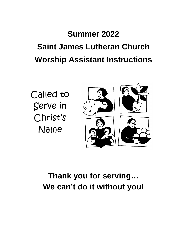# **Summer 2022 Saint James Lutheran Church Worship Assistant Instructions**

Called to Serve in Christ's Name



# **Thank you for serving… We can't do it without you!**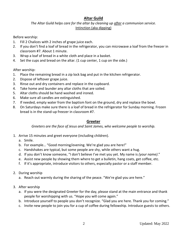# **Altar Guild**

*The Altar Guild helps care for the altar by cleaning up after a communion service.* Intinction (aka dipping)

Before worship:

- 1. Fill 2 Chalices with 2 inches of grape juice each.
- 2. If you don't find a loaf of bread in the refrigerator, you can microwave a loaf from the freezer in classroom #7. About 1 minute.
- 3. Wrap a loaf of bread in a white cloth and place in a basket.
- 4. Set the cups and bread on the altar. (1 cup center, 1 cup on the side.)

After worship:

- 1. Place the remaining bread in a zip lock bag and put in the kitchen refrigerator.
- 2. Dispose of leftover grape juice.
- 3. Rinse out and dry containers and replace in the cupboard.
- 4. Take home and launder any altar cloths that are soiled.
- 5. Altar cloths should be hand washed and ironed.
- 6. Make sure all candles are extinguished.
- 7. If needed, empty water from the baptism font on the ground, dry and replace the bowl.
- 8. On Saturdays make sure there is a loaf of bread in the refrigerator for Sunday morning. Frozen bread is in the stand-up freezer in classroom #7.

#### **Greeter**

*Greeters are the face of Jesus and Saint James, who welcome people to worship.*

- 1. Arrive 15 minutes and greet everyone (including children).
	- a. Smile.
	- b. For example… "Good morning/evening. We're glad you are here!"
	- c. Handshakes are typical, but some people are shy, while others want a hug.
	- d. If you don't know someone, "I don't believe I've met you yet. My name is *(your name)*."
	- e. Assist new people by showing them where to get a bulletin, hang coats, get coffee, etc.
	- f. If it's appropriate, introduce visitors to others, especially pastor or a staff member.
- 2. During worship
	- a. Reach out warmly during the sharing of the peace. "We're glad you are here."
- 3. After worship
	- a. If you were the designated Greeter for the day, please stand at the main entrance and thank people for worshipping with us. "Hope you will come again."
	- b. Introduce yourself to people you don't recognize. "Glad you are here. Thank you for coming."
	- c. Invite new people to join you for a cup of coffee during fellowship. Introduce guests to others.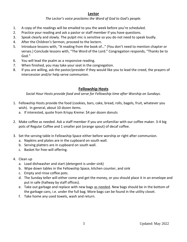#### **Lector**

*The Lector's voice proclaims the Word of God to God's people.*

- 1. A copy of the readings will be emailed to you the week before you're scheduled.
- 2. Practice your reading and ask a pastor or staff member if you have questions.
- 3. Speak clearly and slowly. The pulpit mic is sensitive so you do not need to speak loudly.
- 4. After the Children's Sermon, proceed to the lectern.
- 5. Introduce lessons with, "A reading from the book of…" (You don't need to mention chapter or verses.) Conclude lessons with, "The Word of the Lord." Congregation responds, "Thanks be to God."
- 6. You will lead the psalm as a responsive reading.
- 7. When finished, you may take your seat in the congregation.
- 8. If you are willing, ask the pastor/presider if they would like you to lead the creed, the prayers of intercession and/or help serve communion.

# **Fellowship Hosts**

*Social Hour Hosts provide food and serve for Fellowship time after Worship on Sundays.*

- 1. Fellowship Hosts provide the food (cookies, bars, cake, bread, rolls, bagels, fruit, whatever you wish). In general, about 10 dozen items.
	- a. If interested, quote from Krispy Kreme: \$4 per dozen donuts
- 2. Make coffee as needed. Ask a staff member if you are unfamiliar with our coffee maker. 3-4 big pots of Regular Coffee and 1 smaller pot (orange spout) of decaf coffee.
- 3. Set the serving table in Fellowship Space either before worship or right after communion.
	- a. Napkins and plates are in the cupboard on south wall.
	- b. Serving platters are in cupboard on south wall.
	- c. Basket for free-will offering.
- 4. Clean up
	- a. Load dishwasher and start (detergent is under sink)
	- b. Wipe down tables in the Fellowship Space, kitchen counter, and sink
	- c. Empty and rinse coffee pots.
	- d. The Sunday teller will either come and get the money, or you should place it in an envelope and put in safe (hallway by staff offices).
	- e. Take out garbage and replace with new bags as needed. New bags should be in the bottom of the garbage cans, i.e. under the full bag. More bags can be found in the utility closet.
	- f. Take home any used towels, wash and return.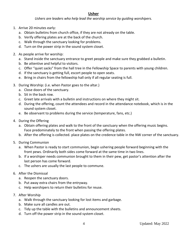### **Usher**

*Ushers are leaders who help lead the worship service by guiding worshipers.*

- 1. Arrive 20 minutes early:
	- a. Obtain bulletins from church office, if they are not already on the table.
	- b. Verify offering plates are at the back of the church.
	- c. Walk through the sanctuary looking for problems.
	- d. Turn on the power strip in the sound system closet.
- 2. As people arrive for worship:
	- a. Stand inside the sanctuary entrance to greet people and make sure they grabbed a bulletin.
	- b. Be attentive and helpful to visitors.
	- c. Offer "quiet sacks" from the hall tree in the Fellowship Space to parents with young children.
	- d. If the sanctuary is getting full, escort people to open seats.
	- e. Bring in chairs from the fellowship hall only if all regular seating is full.
- 3. During Worship: (i.e. when Pastor goes to the altar.)
	- a. Close doors of the sanctuary.
	- b. Sit in the back row.
	- c. Greet late arrivals with a bulletin and instructions on where they might sit.
	- d. During the offering, count the attendees and record in the attendance notebook, which is in the sound system closet.
	- e. Be observant to problems during the service (temperature, fans, etc.)
- 4. During the Offering
	- a. Obtain offering plates and walk to the front of the sanctuary when the offering music begins. Face predominately to the front when passing the offering plates.
	- b. After the offering is collected. place plates on the credence table in the NW corner of the sanctuary.
- 5. During Communion
	- a. When Pastor is ready to start communion, begin ushering people forward beginning with the front pews. Ordinarily both sides come forward at the same time in two lines.
	- b. If a worshiper needs communion brought to them in their pew, get pastor's attention after the last person has come forward.
	- c. The ushers are usually the last people to commune.
- 6. After the Dismissal
	- a. Reopen the sanctuary doors.
	- b. Put away extra chairs from the entryway.
	- c. Help worshipers to return their bulletins for reuse.
- 7. After Worship
	- a. Walk through the sanctuary looking for lost items and garbage.
	- b. Make sure all candles are out.
	- c. Tidy up the table with the bulletins and announcement sheets.
	- d. Turn off the power strip in the sound system closet.